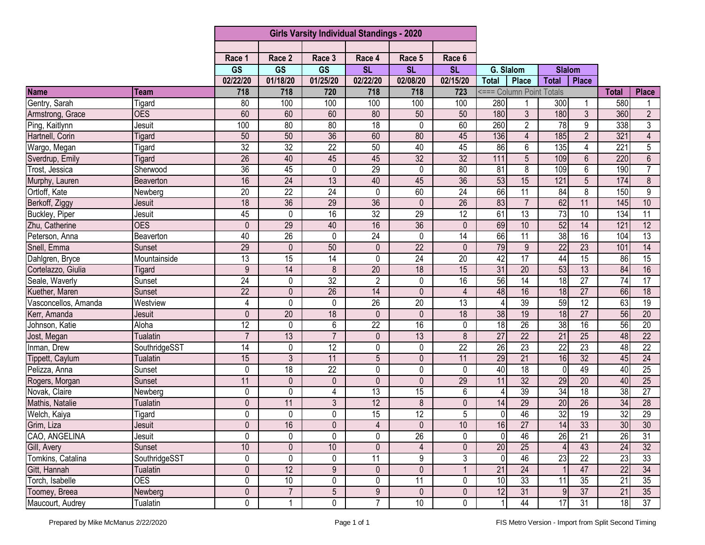|                      |                 | <b>Girls Varsity Individual Standings - 2020</b> |                 |                 |                         |                        |                 |                 |                          |                 |                 |                 |                         |
|----------------------|-----------------|--------------------------------------------------|-----------------|-----------------|-------------------------|------------------------|-----------------|-----------------|--------------------------|-----------------|-----------------|-----------------|-------------------------|
|                      |                 |                                                  |                 |                 |                         |                        |                 |                 |                          |                 |                 |                 |                         |
|                      |                 | Race 1                                           | Race 2          | Race 3          | Race 4                  | Race 5                 | Race 6          |                 |                          |                 |                 |                 |                         |
|                      |                 | <b>GS</b>                                        | <b>GS</b>       | <b>GS</b>       | <b>SL</b>               | $\overline{\text{SL}}$ | <b>SL</b>       | G. Slalom       |                          | <b>Slalom</b>   |                 |                 |                         |
|                      |                 | 02/22/20                                         | 01/18/20        | 01/25/20        | 02/22/20                | 02/08/20               | 02/15/20        | <b>Total</b>    | <b>Place</b>             | <b>Total</b>    | <b>Place</b>    |                 |                         |
| <b>Name</b>          | Team            | 718                                              | 718             | 720             | 718                     | 718                    | 723             |                 | <=== Column Point Totals |                 |                 | <b>Total</b>    | <b>Place</b>            |
| Gentry, Sarah        | Tigard          | 80                                               | 100             | 100             | 100                     | 100                    | 100             | 280             |                          | 300             |                 | 580             |                         |
| Armstrong, Grace     | <b>OES</b>      | 60                                               | 60              | 60              | 80                      | 50                     | 50              | 180             | $\overline{3}$           | 180             | $\overline{3}$  | 360             | $\overline{2}$          |
| Ping, Kaitlynn       | Jesuit          | 100                                              | 80              | 80              | $\overline{18}$         | $\mathbf 0$            | 60              | 260             | $\overline{2}$           | $\overline{78}$ | 9               | 338             | 3                       |
| Hartnell, Corin      | Tigard          | 50                                               | 50              | $\overline{36}$ | 60                      | 80                     | 45              | 136             | 4                        | 185             | $\overline{2}$  | 321             | 4                       |
| Wargo, Megan         | Tigard          | 32                                               | 32              | $\overline{22}$ | 50                      | 40                     | 45              | 86              | 6                        | 135             | 4               | 221             | $\overline{5}$          |
| Sverdrup, Emily      | Tigard          | $\overline{26}$                                  | 40              | 45              | 45                      | $\overline{32}$        | 32              | 111             | 5                        | 109             | 6               | 220             | $6\phantom{.}$          |
| Trost, Jessica       | Sherwood        | $\overline{36}$                                  | 45              | 0               | $\overline{29}$         | $\mathbf 0$            | 80              | 81              | 8                        | 109             | 6               | 190             | $\overline{7}$          |
| Murphy, Lauren       | Beaverton       | 16                                               | 24              | 13              | 40                      | 45                     | 36              | $\overline{53}$ | 15                       | 121             | $\overline{5}$  | 174             | $\overline{\mathbf{8}}$ |
| Ortloff, Kate        | Newberg         | 20                                               | $\overline{22}$ | $\overline{24}$ | 0                       | 60                     | 24              | 66              | 11                       | 84              | 8               | 150             | $\boldsymbol{9}$        |
| Berkoff, Ziggy       | Jesuit          | 18                                               | 36              | 29              | 36                      | $\mathbf 0$            | $\overline{26}$ | 83              | $\overline{7}$           | 62              | 11              | 145             | 10                      |
| Buckley, Piper       | Jesuit          | 45                                               | $\pmb{0}$       | $\overline{16}$ | 32                      | 29                     | 12              | 61              | $\overline{13}$          | 73              | $\overline{10}$ | 134             | 11                      |
| Zhu, Catherine       | <b>OES</b>      | $\mathbf{0}$                                     | 29              | 40              | 16                      | 36                     | $\theta$        | 69              | 10                       | 52              | $\overline{14}$ | 121             | $\overline{12}$         |
| Peterson, Anna       | Beaverton       | 40                                               | $\overline{26}$ | $\mathbf 0$     | $\overline{24}$         | 0                      | 14              | 66              | 11                       | $\overline{38}$ | 16              | 104             | $\overline{13}$         |
| Snell, Emma          | <b>Sunset</b>   | 29                                               | $\mathbf{0}$    | 50              | $\mathbf 0$             | $\overline{22}$        | $\Omega$        | 79              | $\overline{9}$           | $\overline{22}$ | 23              | 101             | 14                      |
| Dahlgren, Bryce      | Mountainside    | $\overline{13}$                                  | 15              | 14              | 0                       | 24                     | 20              | 42              | $\overline{17}$          | 44              | 15              | 86              | $\overline{15}$         |
| Cortelazzo, Giulia   | Tigard          | 9                                                | 14              | 8               | 20                      | 18                     | 15              | 31              | 20                       | 53              | 13              | 84              | 16                      |
| Seale, Waverly       | Sunset          | $\overline{24}$                                  | $\mathbf 0$     | 32              | $\overline{2}$          | $\mathbf 0$            | 16              | 56              | 14                       | $\overline{18}$ | 27              | 74              | 17                      |
| Kuether, Maren       | Sunset          | $\overline{22}$                                  | $\mathbf 0$     | $\overline{26}$ | 14                      | $\mathbf 0$            | 4               | 48              | 16                       | 18              | $\overline{27}$ | 66              | $\overline{18}$         |
| Vasconcellos, Amanda | Westview        | 4                                                | $\mathbf 0$     | $\mathbf 0$     | $\overline{26}$         | $\overline{20}$        | $\overline{13}$ | 4               | 39                       | 59              | 12              | 63              | $\overline{19}$         |
| Kerr, Amanda         | Jesuit          | $\mathbf{0}$                                     | $\overline{20}$ | 18              | 0                       | $\mathbf{0}$           | 18              | $\overline{38}$ | 19                       | 18              | $\overline{27}$ | 56              | $\overline{20}$         |
| Johnson, Katie       | Aloha           | $\overline{12}$                                  | $\mathbf 0$     | 6               | $\overline{22}$         | 16                     | 0               | $\overline{18}$ | 26                       | 38              | $\overline{16}$ | 56              | $\overline{20}$         |
| Jost, Megan          | <b>Tualatin</b> | $\overline{7}$                                   | 13              | $\overline{7}$  | $\mathbf 0$             | 13                     | 8               | 27              | $\overline{22}$          | $\overline{21}$ | $\overline{25}$ | 48              | $\overline{22}$         |
| Inman, Drew          | SouthridgeSST   | $\overline{14}$                                  | $\pmb{0}$       | $\overline{12}$ | 0                       | $\mathbf 0$            | $\overline{22}$ | $\overline{26}$ | $\overline{23}$          | $\overline{22}$ | $\overline{23}$ | 48              | $\overline{22}$         |
| Tippett, Caylum      | <b>Tualatin</b> | 15                                               | $\overline{3}$  | 11              | 5                       | $\pmb{0}$              | 11              | 29              | 21                       | 16              | $\overline{32}$ | 45              | $\overline{24}$         |
| Pelizza, Anna        | Sunset          | 0                                                | 18              | $\overline{22}$ | 0                       | $\mathbf 0$            | 0               | 40              | $\overline{18}$          | $\overline{0}$  | 49              | 40              | $\overline{25}$         |
| Rogers, Morgan       | Sunset          | 11                                               | $\mathbf{0}$    | $\pmb{0}$       | 0                       | $\mathbf{0}$           | 29              | 11              | 32                       | 29              | 20              | 40              | 25                      |
| Novak, Claire        | Newberg         | 0                                                | $\mathbf 0$     | 4               | 13                      | 15                     | 6               | $\overline{4}$  | 39                       | 34              | 18              | $\overline{38}$ | $\overline{27}$         |
| Mathis, Natalie      | <b>Tualatin</b> | 0                                                | 11              | 3               | 12                      | 8                      | 0               | 14              | 29                       | $\overline{20}$ | $\overline{26}$ | 34              | $\overline{28}$         |
| Welch, Kaiya         | Tigard          | 0                                                | 0               | 0               | $\overline{15}$         | 12                     | 5               | $\mathbf 0$     | 46                       | 32              | 19              | 32              | 29                      |
| Grim, Liza           | Jesuit          | $\overline{0}$                                   | 16              | $\overline{0}$  | $\overline{\mathbf{4}}$ | $\pmb{0}$              | 10              | 16              | 27                       | 14              | 33              | 30 <sub>l</sub> | $\overline{30}$         |
| CAO, ANGELINA        | Jesuit          | 0                                                | $\mathbf 0$     | $\mathbf{0}$    | 0                       | 26                     | 0               | $\mathbf 0$     | 46                       | $\overline{26}$ | 21              | 26              | 31                      |
| Gill, Avery          | Sunset          | 10                                               | $\pmb{0}$       | $10$            | 0                       | 4                      | 0               | 20              | 25                       |                 | 43              | 24              | 32                      |
| Tomkins, Catalina    | SouthridgeSST   | 0                                                | $\pmb{0}$       | 0               | 11                      | 9                      | 3               | $\mathbf 0$     | 46                       | $\overline{23}$ | $\overline{22}$ | 23              | 33                      |
| Gitt, Hannah         | <b>Tualatin</b> | $\mathbf 0$                                      | 12              | $9\,$           | $\mathbf 0$             | $\pmb{0}$              |                 | 21              | 24                       |                 | 47              | $\overline{22}$ | 34                      |
| Torch, Isabelle      | <b>OES</b>      | 0                                                | 10              | 0               | 0                       | 11                     | 0               | 10              | 33                       | 11              | 35              | 21              | 35                      |
| Toomey, Breea        | Newberg         | $\pmb{0}$                                        | $\overline{7}$  | $\overline{5}$  | $\boldsymbol{9}$        | $\pmb{0}$              | 0               | 12              | 31                       | 9               | 37              | 21              | 35                      |
| Maucourt, Audrey     | <b>Tualatin</b> | 0                                                |                 | 0               | $\overline{7}$          | 10                     | 0               | $\mathbf{1}$    | 44                       | $\overline{17}$ | 31              | 18              | 37                      |